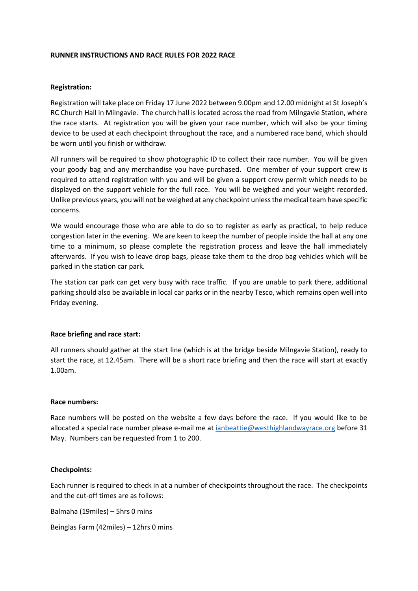#### **RUNNER INSTRUCTIONS AND RACE RULES FOR 2022 RACE**

#### **Registration:**

Registration will take place on Friday 17 June 2022 between 9.00pm and 12.00 midnight at St Joseph's RC Church Hall in Milngavie. The church hall is located across the road from Milngavie Station, where the race starts. At registration you will be given your race number, which will also be your timing device to be used at each checkpoint throughout the race, and a numbered race band, which should be worn until you finish or withdraw.

All runners will be required to show photographic ID to collect their race number. You will be given your goody bag and any merchandise you have purchased. One member of your support crew is required to attend registration with you and will be given a support crew permit which needs to be displayed on the support vehicle for the full race. You will be weighed and your weight recorded. Unlike previous years, you will not be weighed at any checkpoint unless the medical team have specific concerns.

We would encourage those who are able to do so to register as early as practical, to help reduce congestion later in the evening. We are keen to keep the number of people inside the hall at any one time to a minimum, so please complete the registration process and leave the hall immediately afterwards. If you wish to leave drop bags, please take them to the drop bag vehicles which will be parked in the station car park.

The station car park can get very busy with race traffic. If you are unable to park there, additional parking should also be available in local car parks or in the nearby Tesco, which remains open well into Friday evening.

### **Race briefing and race start:**

All runners should gather at the start line (which is at the bridge beside Milngavie Station), ready to start the race, at 12.45am. There will be a short race briefing and then the race will start at exactly 1.00am.

#### **Race numbers:**

Race numbers will be posted on the website a few days before the race. If you would like to be allocated a special race number please e-mail me at [ianbeattie@westhighlandwayrace.org](mailto:ianbeattie@westhighlandwayrace.org) before 31 May. Numbers can be requested from 1 to 200.

#### **Checkpoints:**

Each runner is required to check in at a number of checkpoints throughout the race. The checkpoints and the cut-off times are as follows:

Balmaha (19miles) – 5hrs 0 mins

Beinglas Farm (42miles) – 12hrs 0 mins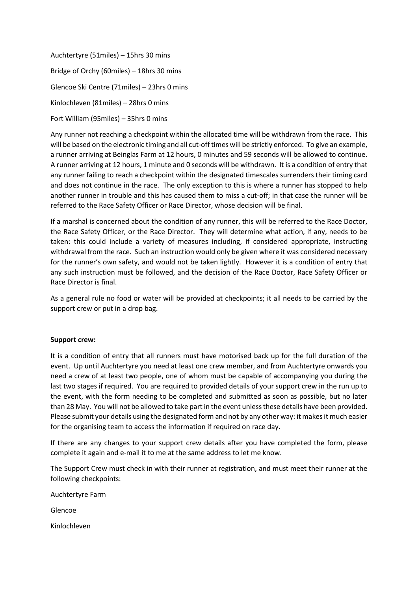Auchtertyre (51miles) – 15hrs 30 mins Bridge of Orchy (60miles) – 18hrs 30 mins Glencoe Ski Centre (71miles) – 23hrs 0 mins Kinlochleven (81miles) – 28hrs 0 mins Fort William (95miles) – 35hrs 0 mins

Any runner not reaching a checkpoint within the allocated time will be withdrawn from the race. This will be based on the electronic timing and all cut-off times will be strictly enforced. To give an example, a runner arriving at Beinglas Farm at 12 hours, 0 minutes and 59 seconds will be allowed to continue. A runner arriving at 12 hours, 1 minute and 0 seconds will be withdrawn. It is a condition of entry that any runner failing to reach a checkpoint within the designated timescales surrenders their timing card and does not continue in the race. The only exception to this is where a runner has stopped to help another runner in trouble and this has caused them to miss a cut-off; in that case the runner will be referred to the Race Safety Officer or Race Director, whose decision will be final.

If a marshal is concerned about the condition of any runner, this will be referred to the Race Doctor, the Race Safety Officer, or the Race Director. They will determine what action, if any, needs to be taken: this could include a variety of measures including, if considered appropriate, instructing withdrawal from the race. Such an instruction would only be given where it was considered necessary for the runner's own safety, and would not be taken lightly. However it is a condition of entry that any such instruction must be followed, and the decision of the Race Doctor, Race Safety Officer or Race Director is final.

As a general rule no food or water will be provided at checkpoints; it all needs to be carried by the support crew or put in a drop bag.

### **Support crew:**

It is a condition of entry that all runners must have motorised back up for the full duration of the event. Up until Auchtertyre you need at least one crew member, and from Auchtertyre onwards you need a crew of at least two people, one of whom must be capable of accompanying you during the last two stages if required. You are required to provided details of your support crew in the run up to the event, with the form needing to be completed and submitted as soon as possible, but no later than 28 May. You will not be allowed to take part in the event unless these details have been provided. Please submit your details using the designated form and not by any other way: it makes it much easier for the organising team to access the information if required on race day.

If there are any changes to your support crew details after you have completed the form, please complete it again and e-mail it to me at the same address to let me know.

The Support Crew must check in with their runner at registration, and must meet their runner at the following checkpoints:

Auchtertyre Farm

Glencoe

Kinlochleven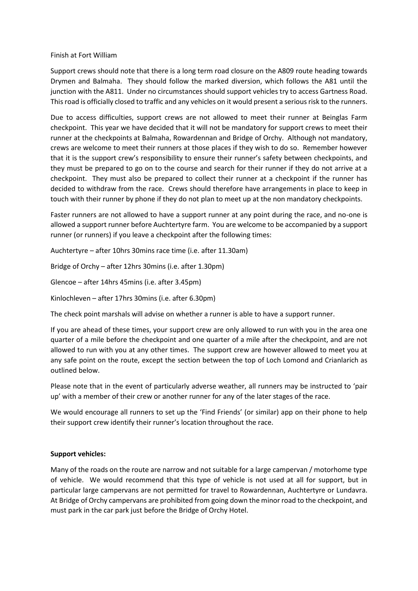#### Finish at Fort William

Support crews should note that there is a long term road closure on the A809 route heading towards Drymen and Balmaha. They should follow the marked diversion, which follows the A81 until the junction with the A811. Under no circumstances should support vehicles try to access Gartness Road. This road is officially closed to traffic and any vehicles on it would present a serious risk to the runners.

Due to access difficulties, support crews are not allowed to meet their runner at Beinglas Farm checkpoint. This year we have decided that it will not be mandatory for support crews to meet their runner at the checkpoints at Balmaha, Rowardennan and Bridge of Orchy. Although not mandatory, crews are welcome to meet their runners at those places if they wish to do so. Remember however that it is the support crew's responsibility to ensure their runner's safety between checkpoints, and they must be prepared to go on to the course and search for their runner if they do not arrive at a checkpoint. They must also be prepared to collect their runner at a checkpoint if the runner has decided to withdraw from the race. Crews should therefore have arrangements in place to keep in touch with their runner by phone if they do not plan to meet up at the non mandatory checkpoints.

Faster runners are not allowed to have a support runner at any point during the race, and no-one is allowed a support runner before Auchtertyre farm. You are welcome to be accompanied by a support runner (or runners) if you leave a checkpoint after the following times:

Auchtertyre – after 10hrs 30mins race time (i.e. after 11.30am)

Bridge of Orchy – after 12hrs 30mins (i.e. after 1.30pm)

Glencoe – after 14hrs 45mins (i.e. after 3.45pm)

Kinlochleven – after 17hrs 30mins (i.e. after 6.30pm)

The check point marshals will advise on whether a runner is able to have a support runner.

If you are ahead of these times, your support crew are only allowed to run with you in the area one quarter of a mile before the checkpoint and one quarter of a mile after the checkpoint, and are not allowed to run with you at any other times. The support crew are however allowed to meet you at any safe point on the route, except the section between the top of Loch Lomond and Crianlarich as outlined below.

Please note that in the event of particularly adverse weather, all runners may be instructed to 'pair up' with a member of their crew or another runner for any of the later stages of the race.

We would encourage all runners to set up the 'Find Friends' (or similar) app on their phone to help their support crew identify their runner's location throughout the race.

### **Support vehicles:**

Many of the roads on the route are narrow and not suitable for a large campervan / motorhome type of vehicle. We would recommend that this type of vehicle is not used at all for support, but in particular large campervans are not permitted for travel to Rowardennan, Auchtertyre or Lundavra. At Bridge of Orchy campervans are prohibited from going down the minor road to the checkpoint, and must park in the car park just before the Bridge of Orchy Hotel.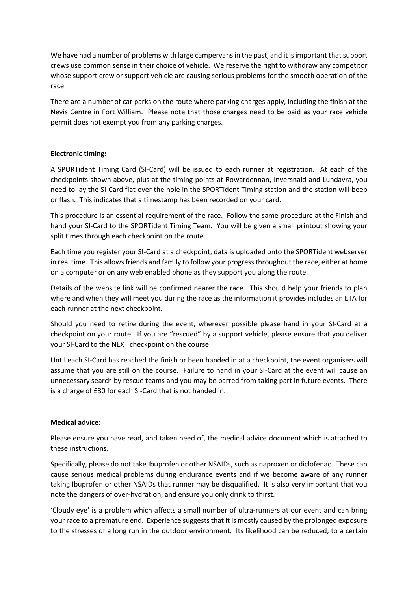We have had a number of problems with large campervans in the past, and it is important that support crews use common sense in their choice of vehicle. We reserve the right to withdraw any competitor whose support crew or support vehicle are causing serious problems for the smooth operation of the race.

There are a number of car parks on the route where parking charges apply, including the finish at the Nevis Centre in Fort William. Please note that those charges need to be paid as your race vehicle permit does not exempt you from any parking charges.

# **Electronic timing:**

A SPORTident Timing Card (SI-Card) will be issued to each runner at registration. At each of the checkpoints shown above, plus at the timing points at Rowardennan, Inversnaid and Lundavra, you need to lay the SI-Card flat over the hole in the SPORTident Timing station and the station will beep or flash. This indicates that a timestamp has been recorded on your card.

This procedure is an essential requirement of the race. Follow the same procedure at the Finish and hand your SI-Card to the SPORTident Timing Team. You will be given a small printout showing your split times through each checkpoint on the route.

Each time you register your SI-Card at a checkpoint, data is uploaded onto the SPORTident webserver in real time. This allows friends and family to follow your progress throughout the race, either at home on a computer or on any web enabled phone as they support you along the route.

Details of the website link will be confirmed nearer the race. This should help your friends to plan where and when they will meet you during the race as the information it provides includes an ETA for each runner at the next checkpoint.

Should you need to retire during the event, wherever possible please hand in your SI-Card at a checkpoint on your route. If you are "rescued" by a support vehicle, please ensure that you deliver your SI-Card to the NEXT checkpoint on the course.

Until each SI-Card has reached the finish or been handed in at a checkpoint, the event organisers will assume that you are still on the course. Failure to hand in your SI-Card at the event will cause an unnecessary search by rescue teams and you may be barred from taking part in future events. There is a charge of £30 for each SI-Card that is not handed in.

### **Medical advice:**

Please ensure you have read, and taken heed of, the medical advice document which is attached to these instructions.

Specifically, please do not take Ibuprofen or other NSAIDs, such as naproxen or diclofenac. These can cause serious medical problems during endurance events and if we become aware of any runner taking Ibuprofen or other NSAIDs that runner may be disqualified. It is also very important that you note the dangers of over-hydration, and ensure you only drink to thirst.

'Cloudy eye' is a problem which affects a small number of ultra-runners at our event and can bring your race to a premature end. Experience suggests that it is mostly caused by the prolonged exposure to the stresses of a long run in the outdoor environment. Its likelihood can be reduced, to a certain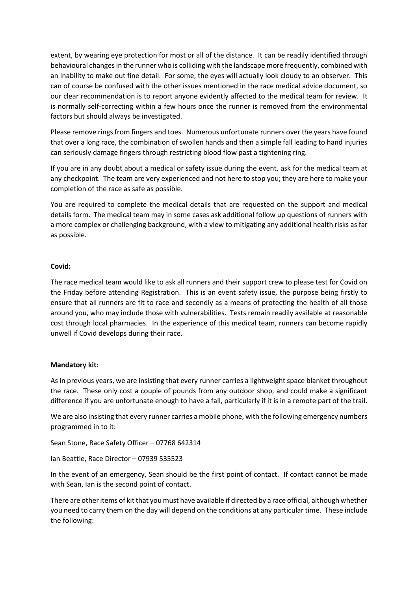extent, by wearing eye protection for most or all of the distance. It can be readily identified through behavioural changes in the runner who is colliding with the landscape more frequently, combined with an inability to make out fine detail. For some, the eyes will actually look cloudy to an observer. This can of course be confused with the other issues mentioned in the race medical advice document, so our clear recommendation is to report anyone evidently affected to the medical team for review. It is normally self-correcting within a few hours once the runner is removed from the environmental factors but should always be investigated.

Please remove rings from fingers and toes. Numerous unfortunate runners over the years have found that over a long race, the combination of swollen hands and then a simple fall leading to hand injuries can seriously damage fingers through restricting blood flow past a tightening ring.

If you are in any doubt about a medical or safety issue during the event, ask for the medical team at any checkpoint. The team are very experienced and not here to stop you; they are here to make your completion of the race as safe as possible.

You are required to complete the medical details that are requested on the support and medical details form. The medical team may in some cases ask additional follow up questions of runners with a more complex or challenging background, with a view to mitigating any additional health risks as far as possible.

### **Covid:**

The race medical team would like to ask all runners and their support crew to please test for Covid on the Friday before attending Registration. This is an event safety issue, the purpose being firstly to ensure that all runners are fit to race and secondly as a means of protecting the health of all those around you, who may include those with vulnerabilities. Tests remain readily available at reasonable cost through local pharmacies. In the experience of this medical team, runners can become rapidly unwell if Covid develops during their race.

### **Mandatory kit:**

As in previous years, we are insisting that every runner carries a lightweight space blanket throughout the race. These only cost a couple of pounds from any outdoor shop, and could make a significant difference if you are unfortunate enough to have a fall, particularly if it is in a remote part of the trail.

We are also insisting that every runner carries a mobile phone, with the following emergency numbers programmed in to it:

Sean Stone, Race Safety Officer – 07768 642314

Ian Beattie, Race Director – 07939 535523

In the event of an emergency, Sean should be the first point of contact. If contact cannot be made with Sean, Ian is the second point of contact.

There are other items of kit that you must have available if directed by a race official, although whether you need to carry them on the day will depend on the conditions at any particular time. These include the following: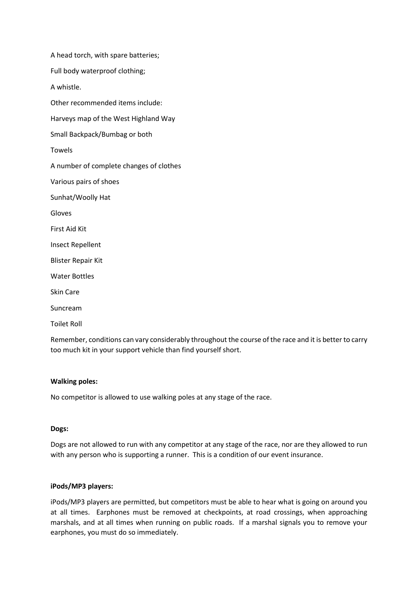A head torch, with spare batteries; Full body waterproof clothing; A whistle. Other recommended items include: Harveys map of the West Highland Way Small Backpack/Bumbag or both Towels A number of complete changes of clothes Various pairs of shoes Sunhat/Woolly Hat Gloves First Aid Kit Insect Repellent Blister Repair Kit Water Bottles Skin Care Suncream

Toilet Roll

Remember, conditions can vary considerably throughout the course of the race and it is better to carry too much kit in your support vehicle than find yourself short.

### **Walking poles:**

No competitor is allowed to use walking poles at any stage of the race.

### **Dogs:**

Dogs are not allowed to run with any competitor at any stage of the race, nor are they allowed to run with any person who is supporting a runner. This is a condition of our event insurance.

### **iPods/MP3 players:**

iPods/MP3 players are permitted, but competitors must be able to hear what is going on around you at all times. Earphones must be removed at checkpoints, at road crossings, when approaching marshals, and at all times when running on public roads. If a marshal signals you to remove your earphones, you must do so immediately.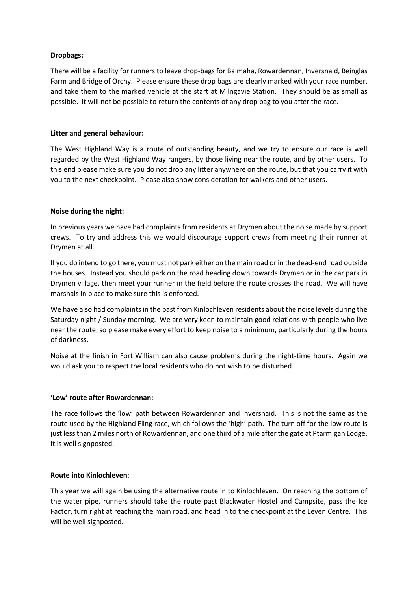# **Dropbags:**

There will be a facility for runners to leave drop-bags for Balmaha, Rowardennan, Inversnaid, Beinglas Farm and Bridge of Orchy. Please ensure these drop bags are clearly marked with your race number, and take them to the marked vehicle at the start at Milngavie Station. They should be as small as possible. It will not be possible to return the contents of any drop bag to you after the race.

# **Litter and general behaviour:**

The West Highland Way is a route of outstanding beauty, and we try to ensure our race is well regarded by the West Highland Way rangers, by those living near the route, and by other users. To this end please make sure you do not drop any litter anywhere on the route, but that you carry it with you to the next checkpoint. Please also show consideration for walkers and other users.

# **Noise during the night:**

In previous years we have had complaints from residents at Drymen about the noise made by support crews. To try and address this we would discourage support crews from meeting their runner at Drymen at all.

If you do intend to go there, you must not park either on the main road or in the dead-end road outside the houses. Instead you should park on the road heading down towards Drymen or in the car park in Drymen village, then meet your runner in the field before the route crosses the road. We will have marshals in place to make sure this is enforced.

We have also had complaints in the past from Kinlochleven residents about the noise levels during the Saturday night / Sunday morning. We are very keen to maintain good relations with people who live near the route, so please make every effort to keep noise to a minimum, particularly during the hours of darkness.

Noise at the finish in Fort William can also cause problems during the night-time hours. Again we would ask you to respect the local residents who do not wish to be disturbed.

# **'Low' route after Rowardennan:**

The race follows the 'low' path between Rowardennan and Inversnaid. This is not the same as the route used by the Highland Fling race, which follows the 'high' path. The turn off for the low route is just less than 2 miles north of Rowardennan, and one third of a mile after the gate at Ptarmigan Lodge. It is well signposted.

### **Route into Kinlochleven**:

This year we will again be using the alternative route in to Kinlochleven. On reaching the bottom of the water pipe, runners should take the route past Blackwater Hostel and Campsite, pass the Ice Factor, turn right at reaching the main road, and head in to the checkpoint at the Leven Centre. This will be well signposted.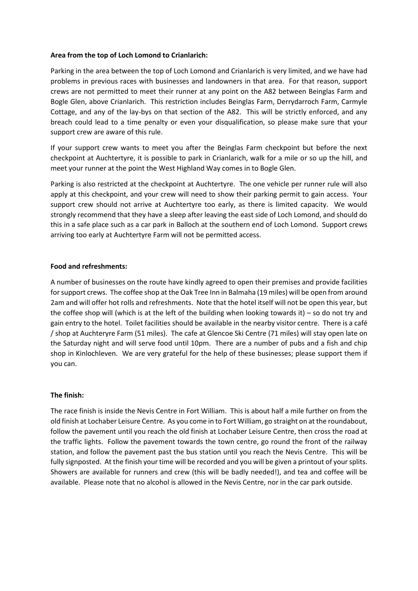### **Area from the top of Loch Lomond to Crianlarich:**

Parking in the area between the top of Loch Lomond and Crianlarich is very limited, and we have had problems in previous races with businesses and landowners in that area. For that reason, support crews are not permitted to meet their runner at any point on the A82 between Beinglas Farm and Bogle Glen, above Crianlarich. This restriction includes Beinglas Farm, Derrydarroch Farm, Carmyle Cottage, and any of the lay-bys on that section of the A82. This will be strictly enforced, and any breach could lead to a time penalty or even your disqualification, so please make sure that your support crew are aware of this rule.

If your support crew wants to meet you after the Beinglas Farm checkpoint but before the next checkpoint at Auchtertyre, it is possible to park in Crianlarich, walk for a mile or so up the hill, and meet your runner at the point the West Highland Way comes in to Bogle Glen.

Parking is also restricted at the checkpoint at Auchtertyre. The one vehicle per runner rule will also apply at this checkpoint, and your crew will need to show their parking permit to gain access. Your support crew should not arrive at Auchtertyre too early, as there is limited capacity. We would strongly recommend that they have a sleep after leaving the east side of Loch Lomond, and should do this in a safe place such as a car park in Balloch at the southern end of Loch Lomond. Support crews arriving too early at Auchtertyre Farm will not be permitted access.

# **Food and refreshments:**

A number of businesses on the route have kindly agreed to open their premises and provide facilities for support crews. The coffee shop at the Oak Tree Inn in Balmaha (19 miles) will be open from around 2am and will offer hot rolls and refreshments. Note that the hotel itself will not be open this year, but the coffee shop will (which is at the left of the building when looking towards it) – so do not try and gain entry to the hotel. Toilet facilities should be available in the nearby visitor centre. There is a café / shop at Auchteryre Farm (51 miles). The cafe at Glencoe Ski Centre (71 miles) will stay open late on the Saturday night and will serve food until 10pm. There are a number of pubs and a fish and chip shop in Kinlochleven. We are very grateful for the help of these businesses; please support them if you can.

# **The finish:**

The race finish is inside the Nevis Centre in Fort William. This is about half a mile further on from the old finish at Lochaber Leisure Centre. As you come in to Fort William, go straight on at the roundabout, follow the pavement until you reach the old finish at Lochaber Leisure Centre, then cross the road at the traffic lights. Follow the pavement towards the town centre, go round the front of the railway station, and follow the pavement past the bus station until you reach the Nevis Centre. This will be fully signposted. At the finish your time will be recorded and you will be given a printout of your splits. Showers are available for runners and crew (this will be badly needed!), and tea and coffee will be available. Please note that no alcohol is allowed in the Nevis Centre, nor in the car park outside.